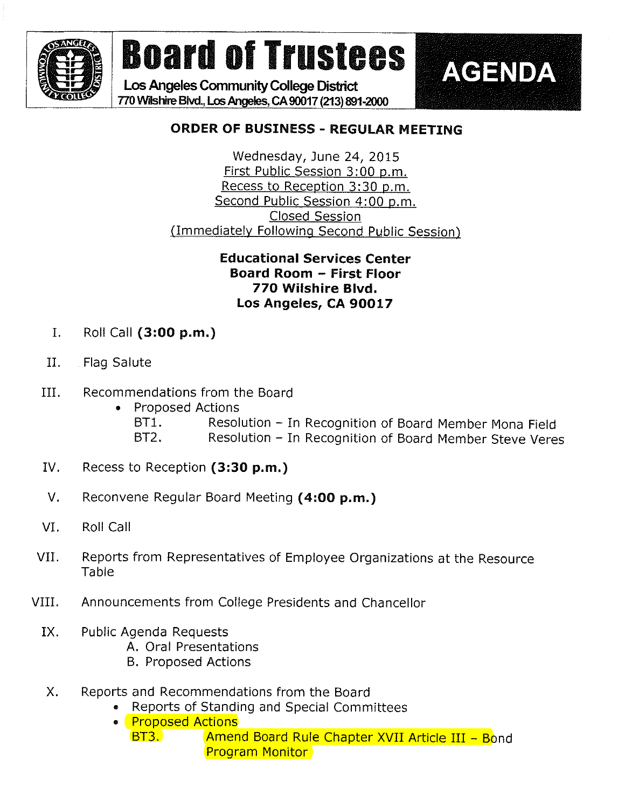

Los Angeles Community College District 770 WHshirc Blvd., Los Angeles, CA 90017 (213) 891-2000



## ORDER OF BUSINESS - REGULAR MEETING

Wednesday, June 24, 2015 First Public Session 3:00 p.m. Recess to Reception 3:30 p.m. Second Public Session 4:00 p.m. **Closed Session** flmmediatelv Followina Second Public Session)

## Educational Services Center Board Room - First Floor 770 Wilshire Blvd. Los Angeles, CA 90017

- I. Roll Call  $(3:00 p.m.)$
- II. Flag Salute
- III. Recommendations from the Board
	- » Proposed Actions BT1. Resolution - In Recognition of Board Member Mona Field BT2. Resolution - In Recognition of Board Member Steve Veres
- IV. Recess to Reception (3:30 p.m.)
- V. Reconvene Regular Board Meeting (4:00 p.m.)
- VI. Roll Call
- VII. Reports from Representatives of Employee Organizations at the Resource Table
- VIII. Announcements from College Presidents and Chancellor
	- IX. Public Agenda Requests
		- A. Oral Presentations
		- B. Proposed Actions
	- X. Reports and Recommendations from the Board
		- . Reports of Standing and Special Committees
		- ® Proposed Actions
			- BT3. **Amend Board Rule Chapter XVII Article III Bond** Program Monitor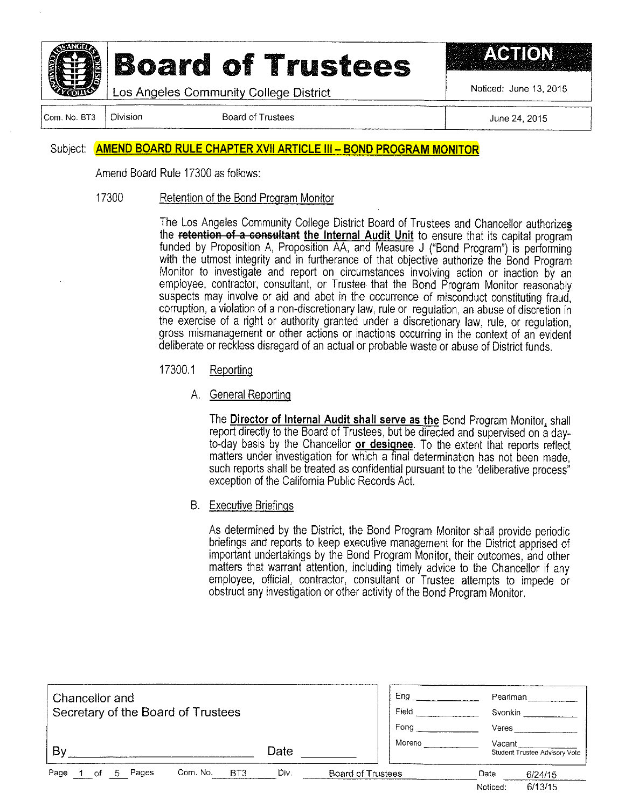

Los Angeles Community College District

Noticed: June 13, 2015

ACTION

Com. No. BT3

**Division** 

**Board of Trustees** 

June 24, 2015

### Subject: AMEND BOARD RULE CHAPTER XVII ARTICLE III - BOND PROGRAM MONITOR

Amend Board Rule 17300 as follows:

#### 17300 Retention of the Bond Program Monitor

The Los Angeles Community College District Board of Trustees and Chancellor authorizes the retention of a consultant the Internal Audit Unit to ensure that its capital program funded by Proposition A, Proposition AA, and Measure J ("Bond Program") is performing with the utmost integrity and in furtherance of that objective authorize the Bond Program Monitor to investigate and report on circumstances involving action or inaction by an employee, contractor, consultant, or Trustee that the Bond Program Monitor reasonably suspects may involve or aid and abet in the occurrence of misconduct constituting fraud, corruption, a violation of a non-discretionary law, rule or regulation, an abuse of discretion in the exercise of a right or authority granted under a discretionary law, rule, or regulation, gross mismanagement or other actions or inactions occurring in the context of an evident deliberate or reckless disregard of an actual or probable waste or abuse of District funds.

- 17300.1 Reporting
	- A. General Reporting

The Director of Internal Audit shall serve as the Bond Program Monitor, shall report directly to the Board of Trustees, but be directed and supervised on a dayto-day basis by the Chancellor or designee. To the extent that reports reflect matters under investigation for which a final determination has not been made. such reports shall be treated as confidential pursuant to the "deliberative process" exception of the California Public Records Act.

**B.** Executive Briefings

As determined by the District, the Bond Program Monitor shall provide periodic briefings and reports to keep executive management for the District apprised of important undertakings by the Bond Program Monitor, their outcomes, and other matters that warrant attention, including timely advice to the Chancellor if any employee, official, contractor, consultant or Trustee attempts to impede or obstruct any investigation or other activity of the Bond Program Monitor

| Chancellor and<br>Secretary of the Board of Trustees |                             |      |                          | Ena<br>Field<br>Fong | Pearlman<br>Svonkin<br>Veres |                               |
|------------------------------------------------------|-----------------------------|------|--------------------------|----------------------|------------------------------|-------------------------------|
| B١                                                   |                             | Date |                          | Moreno               | Vacant                       | Student Trustee Advisory Vote |
| Page<br>Pages<br>'n.                                 | Com. No.<br>BT <sub>3</sub> | Div. | <b>Board of Trustees</b> |                      | Date<br>Noticed:             | 6/24/15<br>6/13/15            |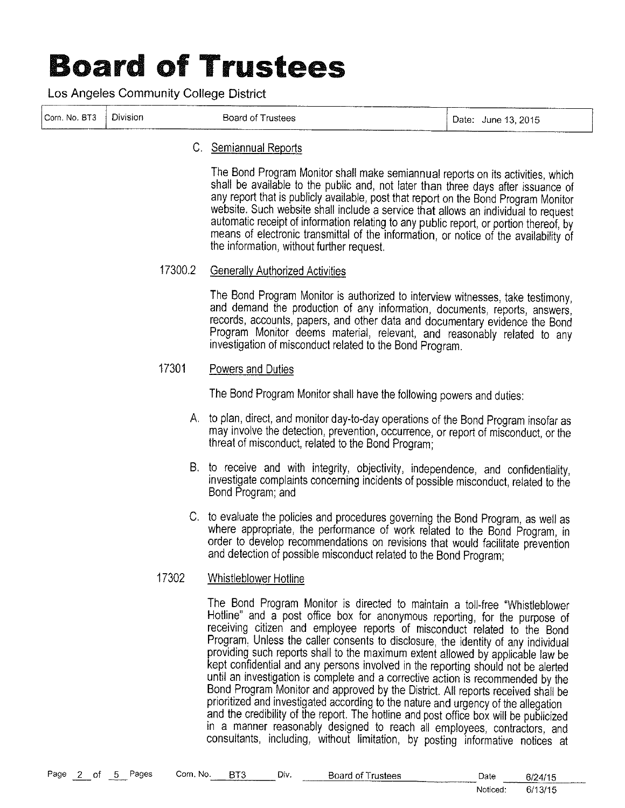Los Angeles Community College District

| Com. No. BT3   Division | Board of Trustees |  | Date: June 13, 2015 |
|-------------------------|-------------------|--|---------------------|

### C. Semiannua! Reports

The Bond Program Monitor shall make semiannual reports on its activities, which shall be available to the public and, not later than three days after issuance of any report that is publicly available, post that report on the Bond Program Monitor website. Such website shall include a service that allows an individual to request automatic receipt of information relating to any public report, or portion thereof, by means of electronic transmittal of the information, or notice of the availability of the information, without further request.

### 17300.2 Generally Authorized Activities

The Bond Program Monitor is authorized to interview witnesses, take testimony, and demand the production of any information, documents, reports, answers; records, accounts, papers, and other data and documentary evidence the Bond Program Monitor deems material, relevant, and reasonably related to any investigation of misconduct related to the Bond Program.

### 17301 Powers and Duties

The Bond Program Monitor shall have the following powers and duties:

- A. to plan, direct, and monitor day-to-day operations of the Bond Program insofar as may involve the detection, prevention, occurrence, or report of misconduct, or the threat of mjsconduct, related to the Bond Program;
- B. to receive and with integrity, objectivity, independence, and confidentiality, investigate complaints concerning incidents of possible misconduct, related to the Bond Program; and
- C, to evaluate the policies and procedures governing the Bond Program, as we!! as where appropriate, the performance of work related to the Bond Program, in order to develop recommendations on revisions that would facilitate prevention and detection of possible misconduct reiated to the Bond Program;

### 17302 Whistlebiower Hotline

The Bond Program Monitor is directed to maintain a toll-free "Whistiebiower Hotline" and a post office box for anonymous reporting, for the purpose of receiving citizen and empioyee reports of misconduct'reiated to' the Bond Program. Unless the caller consents to disclosure, the identity of any individual providing such reports shall to the maximum extent allowed by applicable iaw be kept confidentiai and any persons involved in the reporting should not be alerted until an investigation is complete and a corrective action is recommended by the Bond Program Monitor and approved by the District. All reports received shall be prioritized and investigated according to the nature and urgency of the allegation and the credibility of the report. The hotline and post office box will be publicized in a manner reasonably designed to reach all employees, contractors, and consultants, including, without limitation, by posting informative notices at

| Page 2 of 5 |  | Pages | Com. No. | BT3 | Div. | <b>Board of Trustees</b> | Date     | 6/24/15 |
|-------------|--|-------|----------|-----|------|--------------------------|----------|---------|
|             |  |       |          |     |      |                          | Noticed: | 6/13/15 |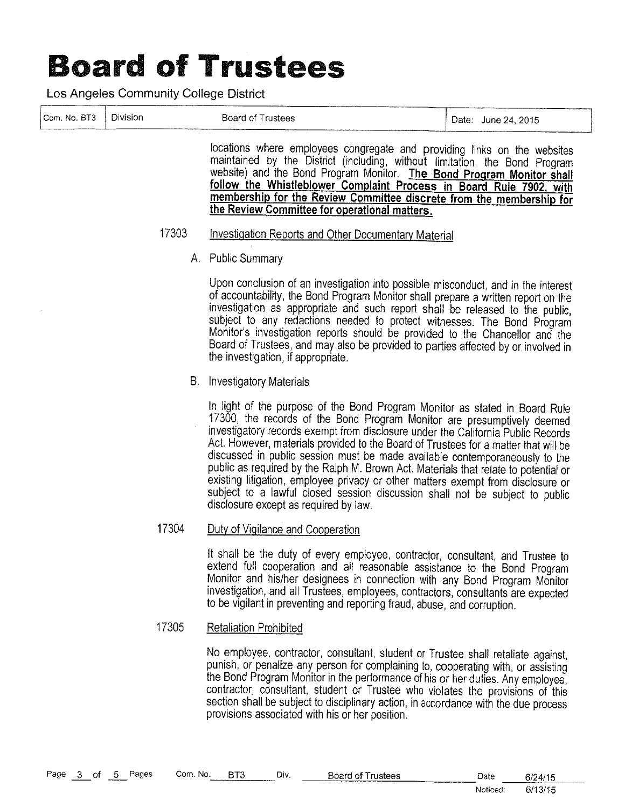Los Angeles Community College District

|              |          |       | LOS Angeles Community College District                                                                                                                                                                                                                                                                                                                                                                                                                                                                                                        |                     |
|--------------|----------|-------|-----------------------------------------------------------------------------------------------------------------------------------------------------------------------------------------------------------------------------------------------------------------------------------------------------------------------------------------------------------------------------------------------------------------------------------------------------------------------------------------------------------------------------------------------|---------------------|
| Com. No. BT3 | Division |       | <b>Board of Trustees</b>                                                                                                                                                                                                                                                                                                                                                                                                                                                                                                                      | Date: June 24, 2015 |
|              |          |       | locations where employees congregate and providing links on the websites<br>maintained by the District (including, without limitation, the Bond Program<br>website) and the Bond Program Monitor. The Bond Program Monitor shall<br>follow the Whistleblower Complaint Process in Board Rule 7902, with<br>membership for the Review Committee discrete from the membership for<br>the Review Committee for operational matters.                                                                                                              |                     |
|              |          | 17303 | <b>Investigation Reports and Other Documentary Material</b>                                                                                                                                                                                                                                                                                                                                                                                                                                                                                   |                     |
|              |          |       | A. Public Summary                                                                                                                                                                                                                                                                                                                                                                                                                                                                                                                             |                     |
|              |          |       | Upon conclusion of an investigation into possible misconduct, and in the interest<br>of accountability, the Bond Program Monitor shall prepare a written report on the<br>investigation as appropriate and such report shall be released to the public,<br>subject to any redactions needed to protect witnesses. The Bond Program<br>Monitor's investigation reports should be provided to the Chancellor and the<br>Board of Trustees, and may also be provided to parties affected by or involved in<br>the investigation, if appropriate. |                     |
|              |          |       | B. Investigatory Materials                                                                                                                                                                                                                                                                                                                                                                                                                                                                                                                    |                     |
|              |          |       | In light of the purpose of the Bond Program Monitor as stated in Board Rule<br>17300, the records of the Bond Program Monitor are presumptively deemed<br>investigatory records exempt from disclosure under the California Public Records                                                                                                                                                                                                                                                                                                    |                     |

Act. However, materials provided to the Board of Trustees for a matter that will be discussed in public session must be made available contemporaneously to the public as required by the Ralph M. Brown Act. Materials that relate to potential or existing litigation, employee privacy or other matters exempt from disclosure or subject to a lawful closed session discussion shall not be subject to public disclosure except as required by law.

#### 17304 Duty of Vigilance and Cooperation

It shall be the duty of every employee, contractor, consultant, and Trustee to extend full cooperation and all reasonable assistance to the Bond Program Monitor and his/her designees in connection with any Bond Program Monitor investigation, and all Trustees, employees, contractors, consultants are expected to be vigilant in preventing and reporting fraud, abuse, and corruption.

#### 17305 **Retaliation Prohibited**

No employee, contractor, consultant, student or Trustee shall retaliate against, punish, or penalize any person for complaining to, cooperating with, or assisting the Bond Program Monitor in the performance of his or her duties. Any employee, contractor, consultant, student or Trustee who violates the provisions of this section shall be subject to disciplinary action, in accordance with the due process provisions associated with his or her position.

| Page 3 of 5 |  | <b>MARKET COMMENT</b> | Pages | Com. No. | BT3 | Div. | <b>Board of Trustees</b> | Date     | 6/24/15 |
|-------------|--|-----------------------|-------|----------|-----|------|--------------------------|----------|---------|
|             |  |                       |       |          |     |      |                          | Noticed: | 6/13/15 |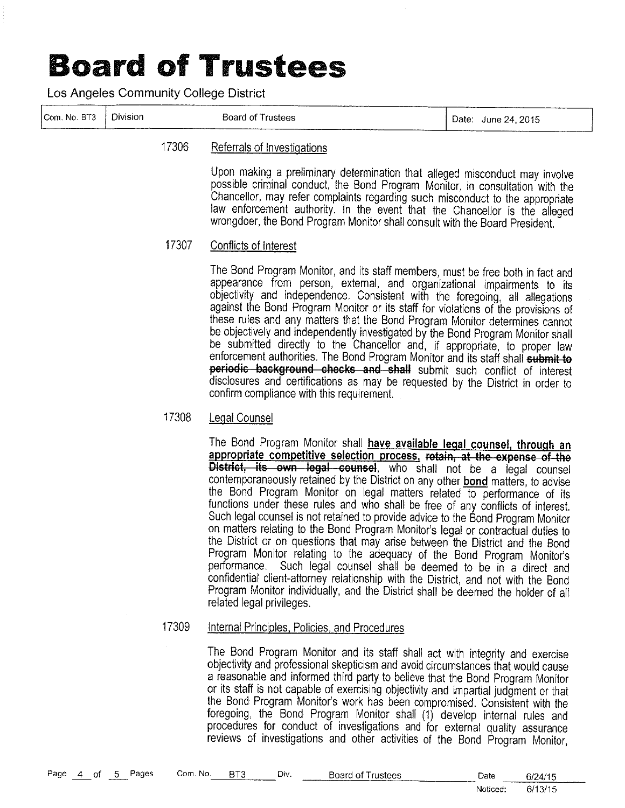Los Angeles Community College District

|              |          | ------------------- |                        |
|--------------|----------|---------------------|------------------------|
| Com. No. BT3 | Division | Board of Trustees   | June 24, 2015<br>Date: |
|              |          | -------------       |                        |

#### 17306 Referrals of Investigations

Upon making a preliminary determination that alleged misconduct may involve possible criminal conduct, the Bond Program Monitor, in consultation with the Chancellor, may refer complaints regarding such misconduct to the appropriate law enforcement authority. In the event that the Chancellor is the alleged wrongdoer, the Bond Program Monitor shall consult with the Board President.

#### 17307 Conflicts of Interest

The Bond Program Monitor, and its staff members, must be free both in fact and appearance from person, external, and organizational impairments to its objectivity and independence. Consistent with the foregoing, all allegations against the Bond Program Monitor or its staff for violations of the provisions of these rules and any matters that the Bond Program Monitor determines cannot be objectively and independently investigated by the Bond Program Monitor shall be submitted directly to the Chancellor and, if appropriate, to proper law enforcement authorities. The Bond Program Monitor and its staff shall submit to periodic background checks and shall submit such conflict of interest disclosures and certifications as may be requested by the District in order to confirm compliance with this requirement.

#### 17308 Legal Counsel

The Bond Program Monitor shall have available legal counsel, through an appropriate competitive selection process, retain, at the expense of the District, its own legal counsel, who shall not be a legal counsel contemporaneously retained by the District on any other bond matters, to advise the Bond Program Monitor on legal matters related to performance of its functions under these rules and who shall be free of any conflicts of interest. Such legal counsel is not retained to provide advice to the Bond Program Monitor on matters relating to the Bond Program Monitor's legal or contractual duties to the District or on questions that may arise between the District and the Bond Program Monitor relating to the adequacy of the Bond Program Monitor's performance. Such legal counsel shall be deemed to be in a direct and confidential client-attorney relationship with the District, and not with the Bond Program Monitor individually, and the District shall be deemed the holder of all related legal privileges.

#### 17309 Internal Principles, Policies, and Procedures

The Bond Program Monitor and its staff shall act with integrity and exercise objectivity and professional skepticism and avoid circumstances that would cause a reasonable and informed third party to believe that the Bond Program Monitor or its staff is not capable of exercising objectivity and impartial judgment or that the Bond Program Monitor's work has been compromised. Consistent with the foregoing, the Bond Program Monitor shall (1) develop internal rules and procedures for conduct of investigations and for external quality assurance reviews of investigations and other activities of the Bond Program Monitor,

| Page | $\overline{4}$ | of | $5 -$ | Pages | Com. No. | BT3 | Div. | <b>Board of Trustees</b> | Date     | 6/24/15 |
|------|----------------|----|-------|-------|----------|-----|------|--------------------------|----------|---------|
|      |                |    |       |       |          |     |      |                          | Noticed: | 6/13/15 |